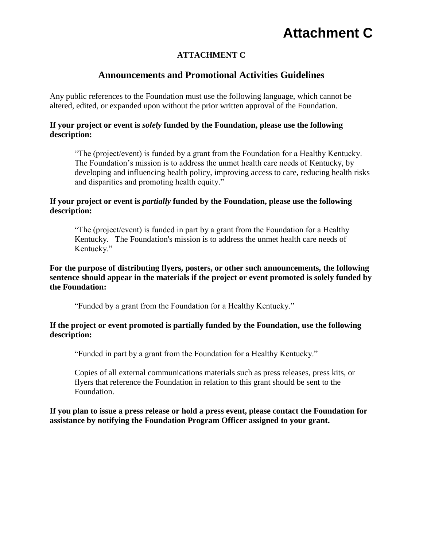## **Attachment C**

### **ATTACHMENT C**

### **Announcements and Promotional Activities Guidelines**

Any public references to the Foundation must use the following language, which cannot be altered, edited, or expanded upon without the prior written approval of the Foundation.

#### **If your project or event is** *solely* **funded by the Foundation, please use the following description:**

"The (project/event) is funded by a grant from the Foundation for a Healthy Kentucky. The Foundation's mission is to address the unmet health care needs of Kentucky, by developing and influencing health policy, improving access to care, reducing health risks and disparities and promoting health equity."

#### **If your project or event is** *partially* **funded by the Foundation, please use the following description:**

"The (project/event) is funded in part by a grant from the Foundation for a Healthy Kentucky. The Foundation's mission is to address the unmet health care needs of Kentucky."

#### **For the purpose of distributing flyers, posters, or other such announcements, the following sentence should appear in the materials if the project or event promoted is solely funded by the Foundation:**

"Funded by a grant from the Foundation for a Healthy Kentucky."

#### **If the project or event promoted is partially funded by the Foundation, use the following description:**

"Funded in part by a grant from the Foundation for a Healthy Kentucky."

Copies of all external communications materials such as press releases, press kits, or flyers that reference the Foundation in relation to this grant should be sent to the Foundation.

#### **If you plan to issue a press release or hold a press event, please contact the Foundation for assistance by notifying the Foundation Program Officer assigned to your grant.**